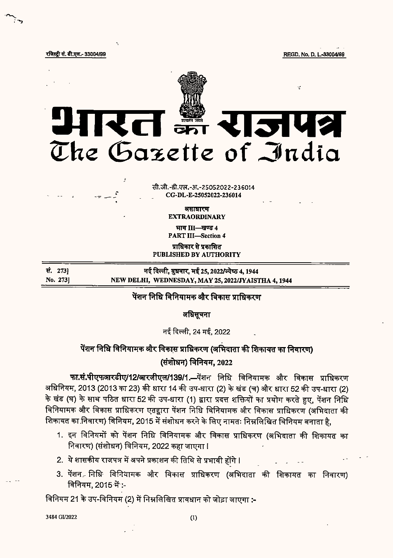रजिस्ट्री सं. डी.एल.- 33004/99

REGD, No. D. L.-33004/99



सी.जी.-डी.एल.-अ.-25052022-236014 CG-DL-E-25052022-236014

> असाधारण **EXTRAORDINARY**

भाग III-खण्ड 4 **PART III-Section 4** 

प्राधिकार से प्रकाशित PUBLISHED BY AUTHORITY

सं. 273) नई दिल्ली, बुधवार, मई 25, 2022/ज्येष्ठ 4, 1944 No. 2731 NEW DELHI, WEDNESDAY, MAY 25, 2022/JYAISTHA 4, 1944

### पेंशन निधि विनियामक और विकास प्राधिकरण

अधिसूचना

नई दिल्ली, 24 मई, 2022

# पेंशन निधि विनियामक और विकास प्राधिकरण (अभिदाता की शिकायत का निवारण)

## (संशोधन) विनियम, 2022

फा.सं.पीएफआरडीए/12/आरजीएल/139/1.- पेंशन निधि विनियामक और विकास प्राधिकरण अधिनियम, 2013 (2013 का 23) की धारा 14 की उप-धारा (2) के खंड (च) और धारा 52 की उप-धारा (2) के खंड (घ) के साथ पठित धारा 52 की उप-धारा (1) द्वारा प्रदत्त शक्तियों का प्रयोग करते हुए, पेंशन निधि विनियामक और विकास प्राधिकरण एतद्वारा पेंशन निधि विनियामक और विकास प्राधिकरण (अभिदाता की शिकायत का निवारण) विनियम, 2015 में संशोधन करने के लिए नामतः निम्नलिखित विनियम बनाता है,

- 1. इन विनियमों को पेंशन निधि विनियामक और विकास प्राधिकरण (अभिदाता की शिकायत का निवारण) (संशोधन) विनियम, 2022 कहा जाएगा l
- 2. ये शासकीय राजपत्र में अपने प्रकाशन की तिथि से प्रभावी होंगे।
- 3. पेंशन निधि विनियामक और विकास प्राधिकरण (अभिदाता की शिकायत का निवारण) विनियम, 2015 में :-

विनियम 21 के उप-विनियम (2) में निम्नलिखित प्रावधान को जोड़ा जाएगा :-

3484 GI/2022